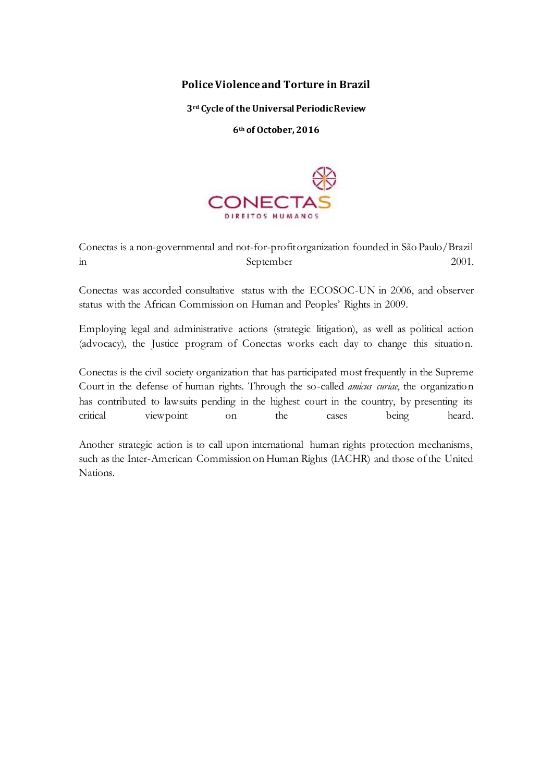# **Police Violence and Torture in Brazil**

**3rd Cycle of the Universal Periodic Review** 

**6th of October, 2016**



Conectas is a non-governmental and not-for-profit organization founded in São Paulo/Brazil in September 2001.

Conectas was accorded consultative status with the ECOSOC-UN in 2006, and observer status with the African Commission on Human and Peoples' Rights in 2009.

Employing legal and administrative actions (strategic litigation), as well as political action (advocacy), the Justice program of Conectas works each day to change this situation.

Conectas is the civil society organization that has participated most frequently in the Supreme Court in the defense of human rights. Through the so-called *amicus curiae*, the organization has contributed to lawsuits pending in the highest court in the country, by presenting its critical viewpoint on the cases being heard.

Another strategic action is to call upon international human rights protection mechanisms, such as the Inter-American Commission on Human Rights (IACHR) and those of the United Nations.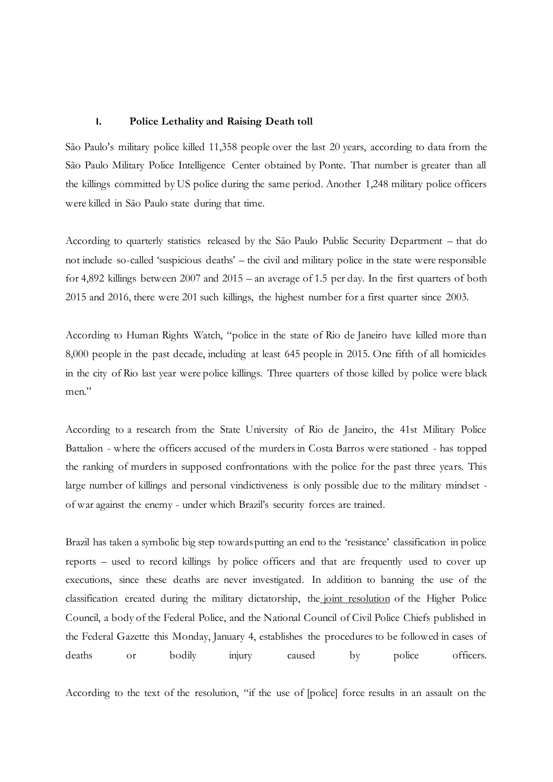### **I. Police Lethality and Raising Death toll**

São Paulo's military police killed 11,358 people over the last 20 years, according to data from the São Paulo Military Police Intelligence Center obtained by Ponte. That number is greater than all the killings committed by US police during the same period. Another 1,248 military police officers were killed in São Paulo state during that time.

According to quarterly statistics released by the São Paulo Public Security Department – that do not include so-called 'suspicious deaths' – the civil and military police in the state were responsible for 4,892 killings between 2007 and 2015 – an average of 1.5 per day. In the first quarters of both 2015 and 2016, there were 201 such killings, the highest number for a first quarter since 2003.

According to Human Rights Watch, "police in the state of Rio de Janeiro have killed more than 8,000 people in the past decade, including at least 645 people in 2015. One fifth of all homicides in the city of Rio last year were police killings. Three quarters of those killed by police were black men."

According to a research from the State University of Rio de Janeiro, the 41st Military Police Battalion - where the officers accused of the murders in Costa Barros were stationed - has topped the ranking of murders in supposed confrontations with the police for the past three years. This large number of killings and personal vindictiveness is only possible due to the military mindset of war against the enemy - under which Brazil's security forces are trained.

Brazil has taken a symbolic big step towards putting an end to the 'resistance' classification in police reports – used to record killings by police officers and that are frequently used to cover up executions, since these deaths are never investigated. In addition to banning the use of the classification created during the military dictatorship, the joint resolution of the Higher Police Council, a body of the Federal Police, and the National Council of Civil Police Chiefs published in the Federal Gazette this Monday, January 4, establishes the procedures to be followed in cases of deaths or bodily injury caused by police officers.

According to the text of the resolution, "if the use of [police] force results in an assault on the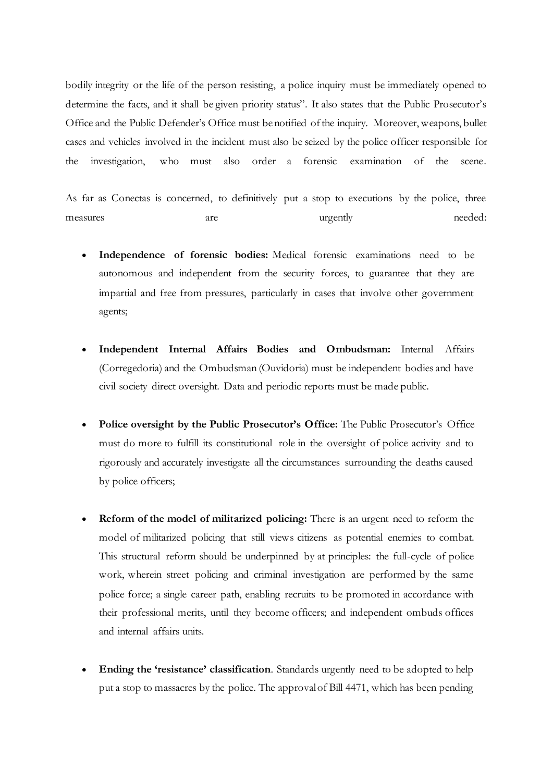bodily integrity or the life of the person resisting, a police inquiry must be immediately opened to determine the facts, and it shall be given priority status". It also states that the Public Prosecutor's Office and the Public Defender's Office must be notified of the inquiry. Moreover, weapons, bullet cases and vehicles involved in the incident must also be seized by the police officer responsible for the investigation, who must also order a forensic examination of the scene.

As far as Conectas is concerned, to definitively put a stop to executions by the police, three measures are are urgently needed:

- **Independence of forensic bodies:** Medical forensic examinations need to be autonomous and independent from the security forces, to guarantee that they are impartial and free from pressures, particularly in cases that involve other government agents;
- **Independent Internal Affairs Bodies and Ombudsman:** Internal Affairs (Corregedoria) and the Ombudsman (Ouvidoria) must be independent bodies and have civil society direct oversight. Data and periodic reports must be made public.
- **Police oversight by the Public Prosecutor's Office:** The Public Prosecutor's Office must do more to fulfill its constitutional role in the oversight of police activity and to rigorously and accurately investigate all the circumstances surrounding the deaths caused by police officers;
- **Reform of the model of militarized policing:** There is an urgent need to reform the model of militarized policing that still views citizens as potential enemies to combat. This structural reform should be underpinned by at principles: the full-cycle of police work, wherein street policing and criminal investigation are performed by the same police force; a single career path, enabling recruits to be promoted in accordance with their professional merits, until they become officers; and independent ombuds offices and internal affairs units.
- **Ending the 'resistance' classification**. Standards urgently need to be adopted to help put a stop to massacres by the police. The approval of Bill 4471, which has been pending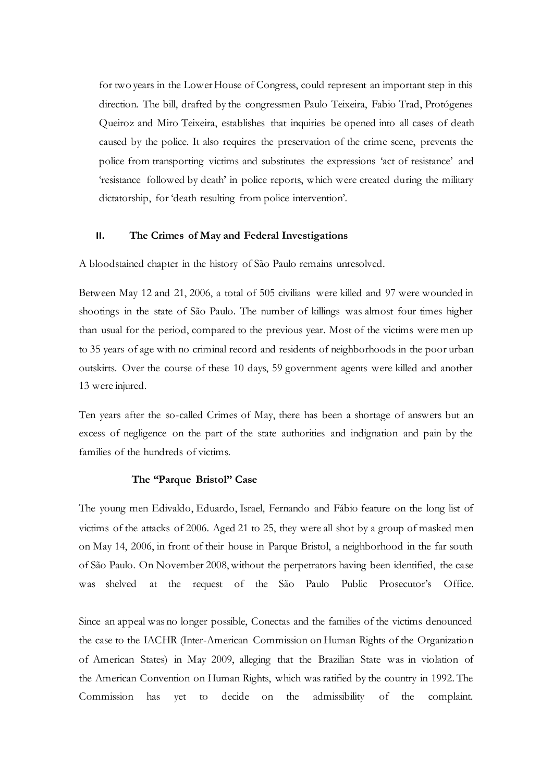for two years in the Lower House of Congress, could represent an important step in this direction. The bill, drafted by the congressmen Paulo Teixeira, Fabio Trad, Protógenes Queiroz and Miro Teixeira, establishes that inquiries be opened into all cases of death caused by the police. It also requires the preservation of the crime scene, prevents the police from transporting victims and substitutes the expressions 'act of resistance' and 'resistance followed by death' in police reports, which were created during the military dictatorship, for 'death resulting from police intervention'.

### **II. The Crimes of May and Federal Investigations**

A bloodstained chapter in the history of São Paulo remains unresolved.

Between May 12 and 21, 2006, a total of 505 civilians were killed and 97 were wounded in shootings in the state of São Paulo. The number of killings was almost four times higher than usual for the period, compared to the previous year. Most of the victims were men up to 35 years of age with no criminal record and residents of neighborhoods in the poor urban outskirts. Over the course of these 10 days, 59 government agents were killed and another 13 were injured.

Ten years after the so-called Crimes of May, there has been a shortage of answers but an excess of negligence on the part of the state authorities and indignation and pain by the families of the hundreds of victims.

#### **The "Parque Bristol" Case**

The young men Edivaldo, Eduardo, Israel, Fernando and Fábio feature on the long list of victims of the attacks of 2006. Aged 21 to 25, they were all shot by a group of masked men on May 14, 2006, in front of their house in Parque Bristol, a neighborhood in the far south of São Paulo. On November 2008, without the perpetrators having been identified, the case was shelved at the request of the São Paulo Public Prosecutor's Office.

Since an appeal was no longer possible, Conectas and the families of the victims denounced the case to the IACHR (Inter-American Commission on Human Rights of the Organization of American States) in May 2009, alleging that the Brazilian State was in violation of the American Convention on Human Rights, which was ratified by the country in 1992. The Commission has yet to decide on the admissibility of the complaint.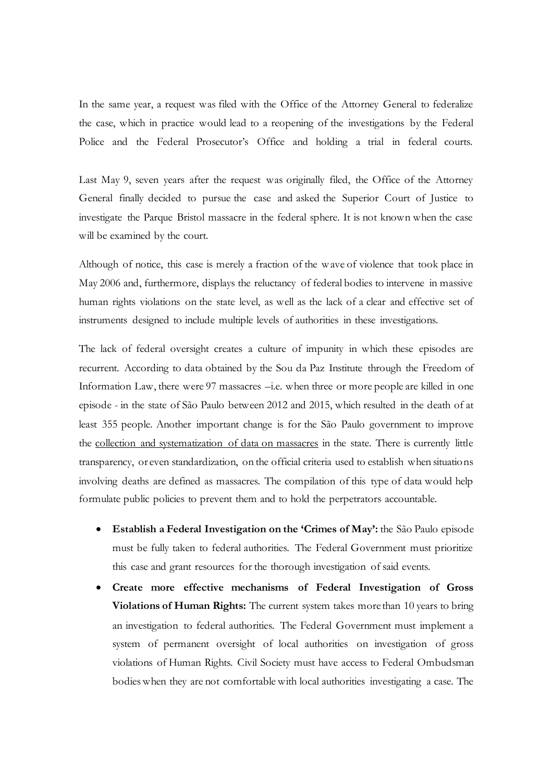In the same year, a request was filed with the Office of the Attorney General to federalize the case, which in practice would lead to a reopening of the investigations by the Federal Police and the Federal Prosecutor's Office and holding a trial in federal courts.

Last May 9, seven years after the request was originally filed, the Office of the Attorney General finally decided to pursue the case and asked the Superior Court of Justice to investigate the Parque Bristol massacre in the federal sphere. It is not known when the case will be examined by the court.

Although of notice, this case is merely a fraction of the wave of violence that took place in May 2006 and, furthermore, displays the reluctancy of federal bodies to intervene in massive human rights violations on the state level, as well as the lack of a clear and effective set of instruments designed to include multiple levels of authorities in these investigations.

The lack of federal oversight creates a culture of impunity in which these episodes are recurrent. According to data obtained by the Sou da Paz Institute through the Freedom of Information Law, there were 97 massacres –i.e. when three or more people are killed in one episode - in the state of São Paulo between 2012 and 2015, which resulted in the death of at least 355 people. Another important change is for the São Paulo government to improve the collection and systematization of data on massacres in the state. There is currently little transparency, or even standardization, on the official criteria used to establish when situations involving deaths are defined as massacres. The compilation of this type of data would help formulate public policies to prevent them and to hold the perpetrators accountable.

- **Establish a Federal Investigation on the 'Crimes of May':** the São Paulo episode must be fully taken to federal authorities. The Federal Government must prioritize this case and grant resources for the thorough investigation of said events.
- **Create more effective mechanisms of Federal Investigation of Gross Violations of Human Rights:** The current system takes more than 10 years to bring an investigation to federal authorities. The Federal Government must implement a system of permanent oversight of local authorities on investigation of gross violations of Human Rights. Civil Society must have access to Federal Ombudsman bodies when they are not comfortable with local authorities investigating a case. The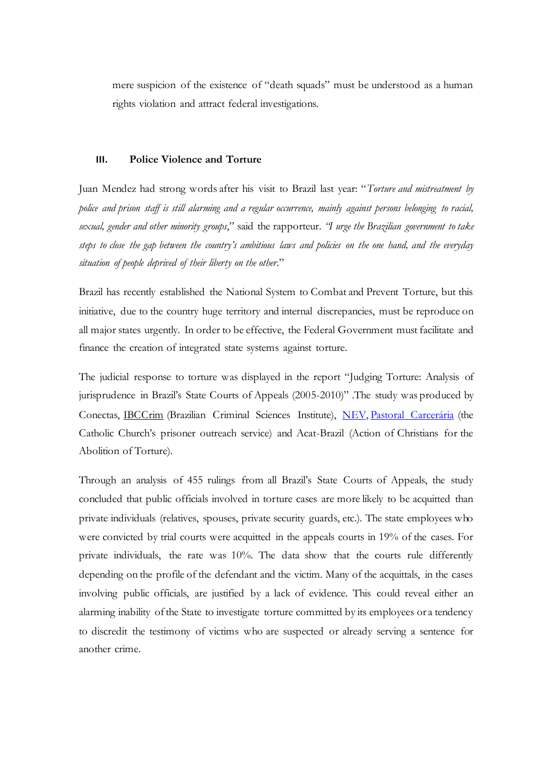mere suspicion of the existence of "death squads" must be understood as a human rights violation and attract federal investigations.

## **III. Police Violence and Torture**

Juan Mendez had strong words after his visit to Brazil last year: "*Torture and mistreatment by police and prison staff is still alarming and a regular occurrence, mainly against persons belonging to racial, sexual, gender and other minority groups*," said the rapporteur. *"I urge the Brazilian government to take steps to close the gap between the country's ambitious laws and policies on the one hand, and the everyday situation of people deprived of their liberty on the other*."

Brazil has recently established the National System to Combat and Prevent Torture, but this initiative, due to the country huge territory and internal discrepancies, must be reproduce on all major states urgently. In order to be effective, the Federal Government must facilitate and finance the creation of integrated state systems against torture.

The judicial response to torture was displayed in the report "Judging Torture: Analysis of jurisprudence in Brazil's State Courts of Appeals (2005-2010)" .The study was produced by Conectas, IBCCrim (Brazilian Criminal Sciences Institute), NEV, Pastoral Carcerária (the Catholic Church's prisoner outreach service) and Acat-Brazil (Action of Christians for the Abolition of Torture).

Through an analysis of 455 rulings from all Brazil's State Courts of Appeals, the study concluded that public officials involved in torture cases are more likely to be acquitted than private individuals (relatives, spouses, private security guards, etc.). The state employees who were convicted by trial courts were acquitted in the appeals courts in 19% of the cases. For private individuals, the rate was 10%. The data show that the courts rule differently depending on the profile of the defendant and the victim. Many of the acquittals, in the cases involving public officials, are justified by a lack of evidence. This could reveal either an alarming inability of the State to investigate torture committed by its employees or a tendency to discredit the testimony of victims who are suspected or already serving a sentence for another crime.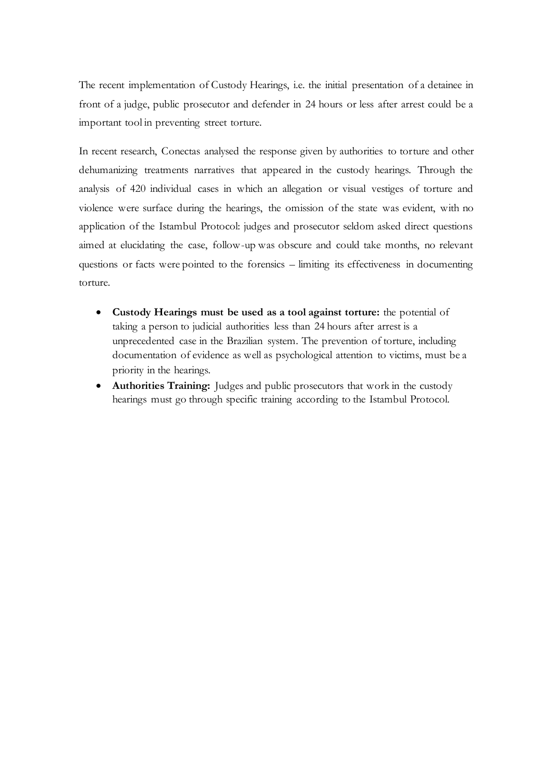The recent implementation of Custody Hearings, i.e. the initial presentation of a detainee in front of a judge, public prosecutor and defender in 24 hours or less after arrest could be a important tool in preventing street torture.

In recent research, Conectas analysed the response given by authorities to torture and other dehumanizing treatments narratives that appeared in the custody hearings. Through the analysis of 420 individual cases in which an allegation or visual vestiges of torture and violence were surface during the hearings, the omission of the state was evident, with no application of the Istambul Protocol: judges and prosecutor seldom asked direct questions aimed at elucidating the case, follow-up was obscure and could take months, no relevant questions or facts were pointed to the forensics – limiting its effectiveness in documenting torture.

- **Custody Hearings must be used as a tool against torture:** the potential of taking a person to judicial authorities less than 24 hours after arrest is a unprecedented case in the Brazilian system. The prevention of torture, including documentation of evidence as well as psychological attention to victims, must be a priority in the hearings.
- **Authorities Training:** Judges and public prosecutors that work in the custody hearings must go through specific training according to the Istambul Protocol.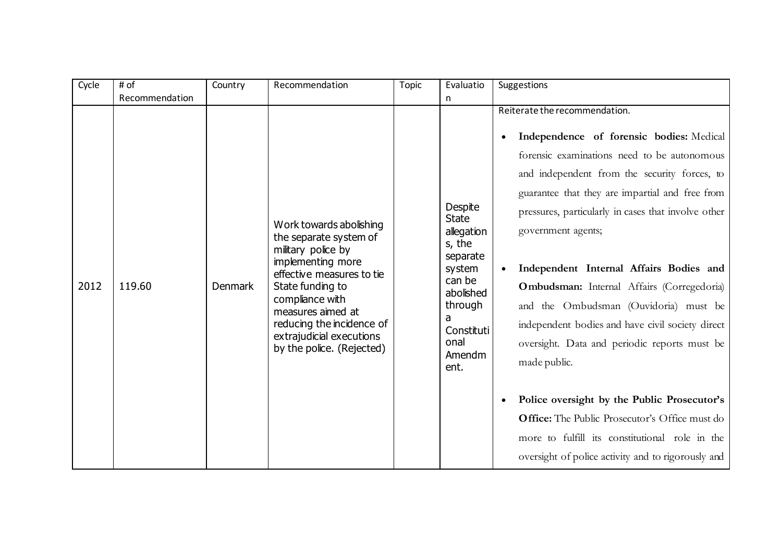| Cycle | # of           | Country | Recommendation                                                                                                                                                                                                                                                              | <b>Topic</b> | Evaluatio                                                                                                                                            | Suggestions                                                                                                                                                                                                                                                                                                                                                                                                                                                                                                                                                                                                                                                                                                                                                                                        |
|-------|----------------|---------|-----------------------------------------------------------------------------------------------------------------------------------------------------------------------------------------------------------------------------------------------------------------------------|--------------|------------------------------------------------------------------------------------------------------------------------------------------------------|----------------------------------------------------------------------------------------------------------------------------------------------------------------------------------------------------------------------------------------------------------------------------------------------------------------------------------------------------------------------------------------------------------------------------------------------------------------------------------------------------------------------------------------------------------------------------------------------------------------------------------------------------------------------------------------------------------------------------------------------------------------------------------------------------|
|       | Recommendation |         |                                                                                                                                                                                                                                                                             |              | n                                                                                                                                                    |                                                                                                                                                                                                                                                                                                                                                                                                                                                                                                                                                                                                                                                                                                                                                                                                    |
| 2012  | 119.60         | Denmark | Work towards abolishing<br>the separate system of<br>military police by<br>implementing more<br>effective measures to tie<br>State funding to<br>compliance with<br>measures aimed at<br>reducing the incidence of<br>extrajudicial executions<br>by the police. (Rejected) |              | Despite<br><b>State</b><br>allegation<br>s, the<br>separate<br>system<br>can be<br>abolished<br>through<br>a<br>Constituti<br>onal<br>Amendm<br>ent. | Reiterate the recommendation.<br>Independence of forensic bodies: Medical<br>forensic examinations need to be autonomous<br>and independent from the security forces, to<br>guarantee that they are impartial and free from<br>pressures, particularly in cases that involve other<br>government agents;<br>Independent Internal Affairs Bodies and<br><b>Ombudsman:</b> Internal Affairs (Corregedoria)<br>and the Ombudsman (Ouvidoria) must be<br>independent bodies and have civil society direct<br>oversight. Data and periodic reports must be<br>made public.<br>Police oversight by the Public Prosecutor's<br>$\bullet$<br><b>Office:</b> The Public Prosecutor's Office must do<br>more to fulfill its constitutional role in the<br>oversight of police activity and to rigorously and |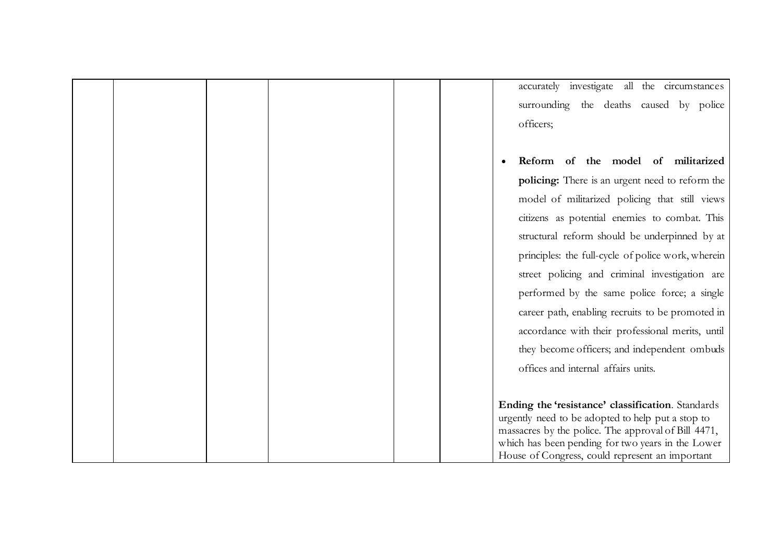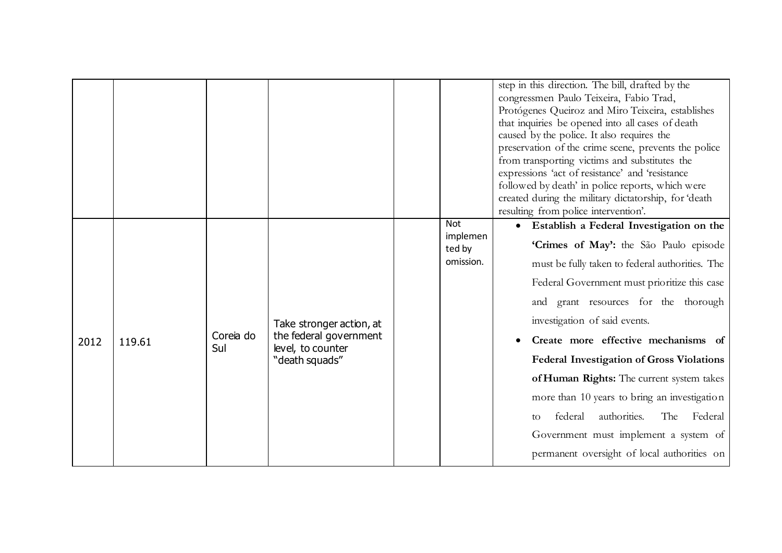|      |        |                  |                                                                                           | <b>Not</b>                      | step in this direction. The bill, drafted by the<br>congressmen Paulo Teixeira, Fabio Trad,<br>Protógenes Queiroz and Miro Teixeira, establishes<br>that inquiries be opened into all cases of death<br>caused by the police. It also requires the<br>preservation of the crime scene, prevents the police<br>from transporting victims and substitutes the<br>expressions 'act of resistance' and 'resistance<br>followed by death' in police reports, which were<br>created during the military dictatorship, for 'death<br>resulting from police intervention'.<br>Establish a Federal Investigation on the<br>$\bullet$ |
|------|--------|------------------|-------------------------------------------------------------------------------------------|---------------------------------|-----------------------------------------------------------------------------------------------------------------------------------------------------------------------------------------------------------------------------------------------------------------------------------------------------------------------------------------------------------------------------------------------------------------------------------------------------------------------------------------------------------------------------------------------------------------------------------------------------------------------------|
| 2012 | 119.61 | Coreia do<br>Sul | Take stronger action, at<br>the federal government<br>level, to counter<br>"death squads" | implemen<br>ted by<br>omission. | 'Crimes of May': the São Paulo episode<br>must be fully taken to federal authorities. The<br>Federal Government must prioritize this case<br>and grant resources for the thorough<br>investigation of said events.<br>Create more effective mechanisms of<br><b>Federal Investigation of Gross Violations</b><br>of Human Rights: The current system takes<br>more than 10 years to bring an investigation<br>authorities.<br>federal<br>The<br>Federal<br>to<br>Government must implement a system of<br>permanent oversight of local authorities on                                                                       |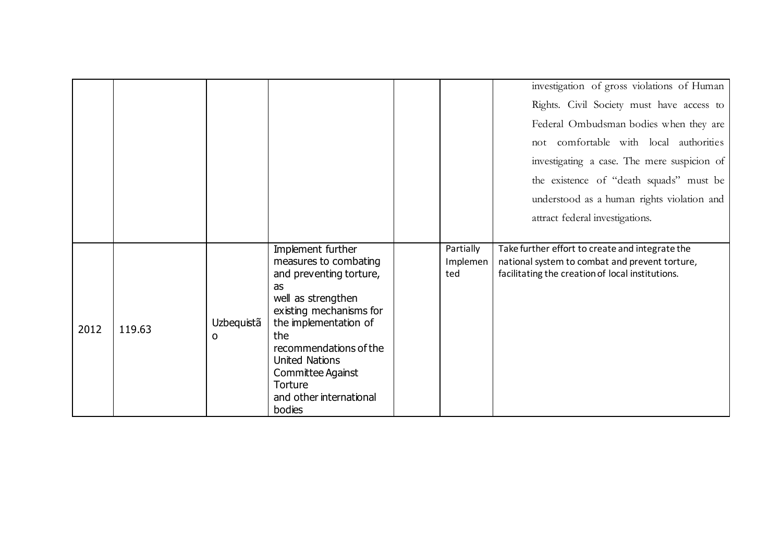|      |        |                 |                                                                                                                                                                                                                                                                                      |                              | investigation of gross violations of Human                                                                                                            |
|------|--------|-----------------|--------------------------------------------------------------------------------------------------------------------------------------------------------------------------------------------------------------------------------------------------------------------------------------|------------------------------|-------------------------------------------------------------------------------------------------------------------------------------------------------|
|      |        |                 |                                                                                                                                                                                                                                                                                      |                              | Rights. Civil Society must have access to                                                                                                             |
|      |        |                 |                                                                                                                                                                                                                                                                                      |                              | Federal Ombudsman bodies when they are                                                                                                                |
|      |        |                 |                                                                                                                                                                                                                                                                                      |                              | not comfortable with local authorities                                                                                                                |
|      |        |                 |                                                                                                                                                                                                                                                                                      |                              | investigating a case. The mere suspicion of                                                                                                           |
|      |        |                 |                                                                                                                                                                                                                                                                                      |                              | the existence of "death squads" must be                                                                                                               |
|      |        |                 |                                                                                                                                                                                                                                                                                      |                              | understood as a human rights violation and                                                                                                            |
|      |        |                 |                                                                                                                                                                                                                                                                                      |                              | attract federal investigations.                                                                                                                       |
|      |        |                 |                                                                                                                                                                                                                                                                                      |                              |                                                                                                                                                       |
| 2012 | 119.63 | Uzbequistã<br>0 | Implement further<br>measures to combating<br>and preventing torture,<br>as<br>well as strengthen<br>existing mechanisms for<br>the implementation of<br>the<br>recommendations of the<br><b>United Nations</b><br>Committee Against<br>Torture<br>and other international<br>bodies | Partially<br>Implemen<br>ted | Take further effort to create and integrate the<br>national system to combat and prevent torture,<br>facilitating the creation of local institutions. |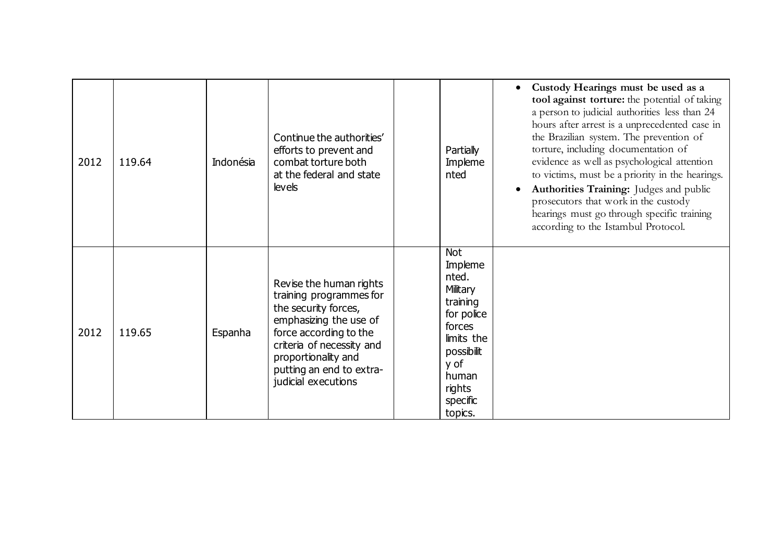| 2012 | 119.64 | Indonésia | Continue the authorities'<br>efforts to prevent and<br>combat torture both<br>at the federal and state<br><b>levels</b>                                                                                                               | Partially<br>Impleme<br>nted                                                                                                                                 | Custody Hearings must be used as a<br>tool against torture: the potential of taking<br>a person to judicial authorities less than 24<br>hours after arrest is a unprecedented case in<br>the Brazilian system. The prevention of<br>torture, including documentation of<br>evidence as well as psychological attention<br>to victims, must be a priority in the hearings.<br>Authorities Training: Judges and public<br>prosecutors that work in the custody<br>hearings must go through specific training<br>according to the Istambul Protocol. |
|------|--------|-----------|---------------------------------------------------------------------------------------------------------------------------------------------------------------------------------------------------------------------------------------|--------------------------------------------------------------------------------------------------------------------------------------------------------------|---------------------------------------------------------------------------------------------------------------------------------------------------------------------------------------------------------------------------------------------------------------------------------------------------------------------------------------------------------------------------------------------------------------------------------------------------------------------------------------------------------------------------------------------------|
| 2012 | 119.65 | Espanha   | Revise the human rights<br>training programmes for<br>the security forces,<br>emphasizing the use of<br>force according to the<br>criteria of necessity and<br>proportionality and<br>putting an end to extra-<br>judicial executions | <b>Not</b><br>Impleme<br>nted.<br>Military<br>training<br>for police<br>forces<br>limits the<br>possibilit<br>y of<br>human<br>rights<br>specific<br>topics. |                                                                                                                                                                                                                                                                                                                                                                                                                                                                                                                                                   |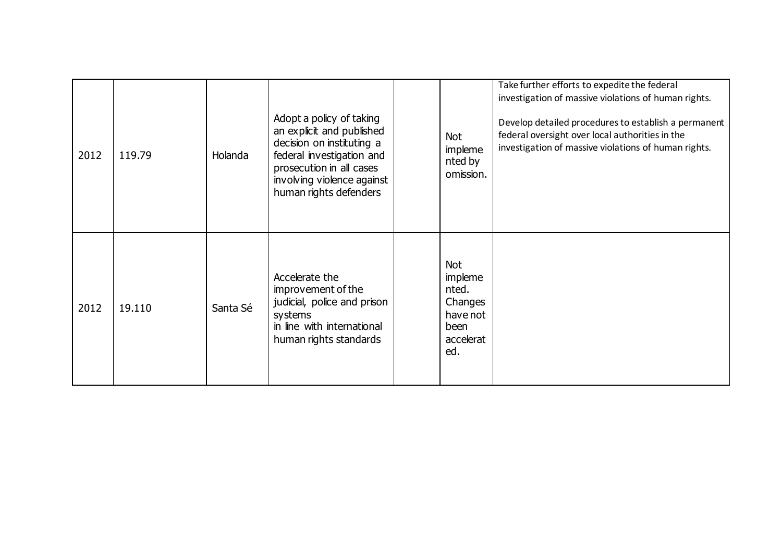| 2012 | 119.79 | Holanda  | Adopt a policy of taking<br>an explicit and published<br>decision on instituting a<br>federal investigation and<br>prosecution in all cases<br>involving violence against<br>human rights defenders | <b>Not</b><br>impleme<br>nted by<br>omission.                                     | Take further efforts to expedite the federal<br>investigation of massive violations of human rights.<br>Develop detailed procedures to establish a permanent<br>federal oversight over local authorities in the<br>investigation of massive violations of human rights. |
|------|--------|----------|-----------------------------------------------------------------------------------------------------------------------------------------------------------------------------------------------------|-----------------------------------------------------------------------------------|-------------------------------------------------------------------------------------------------------------------------------------------------------------------------------------------------------------------------------------------------------------------------|
| 2012 | 19.110 | Santa Sé | Accelerate the<br>improvement of the<br>judicial, police and prison<br>systems<br>in line with international<br>human rights standards                                                              | <b>Not</b><br>impleme<br>nted.<br>Changes<br>have not<br>been<br>accelerat<br>ed. |                                                                                                                                                                                                                                                                         |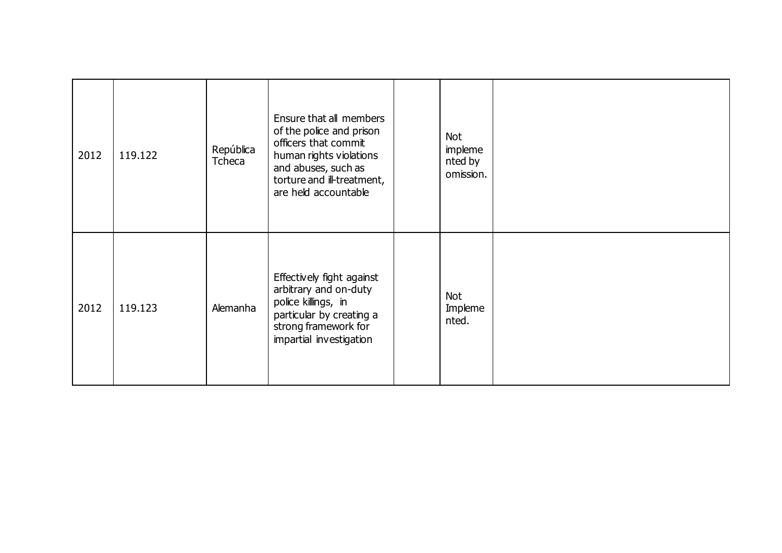| 2012 | 119.122 | República<br>Tcheca | Ensure that all members<br>of the police and prison<br>officers that commit<br>human rights violations<br>and abuses, such as<br>torture and ill-treatment,<br>are held accountable | <b>Not</b><br>impleme<br>nted by<br>omission. |  |
|------|---------|---------------------|-------------------------------------------------------------------------------------------------------------------------------------------------------------------------------------|-----------------------------------------------|--|
| 2012 | 119.123 | Alemanha            | Effectively fight against<br>arbitrary and on-duty<br>police killings, in<br>particular by creating a<br>strong framework for<br>impartial investigation                            | <b>Not</b><br>Impleme<br>nted.                |  |